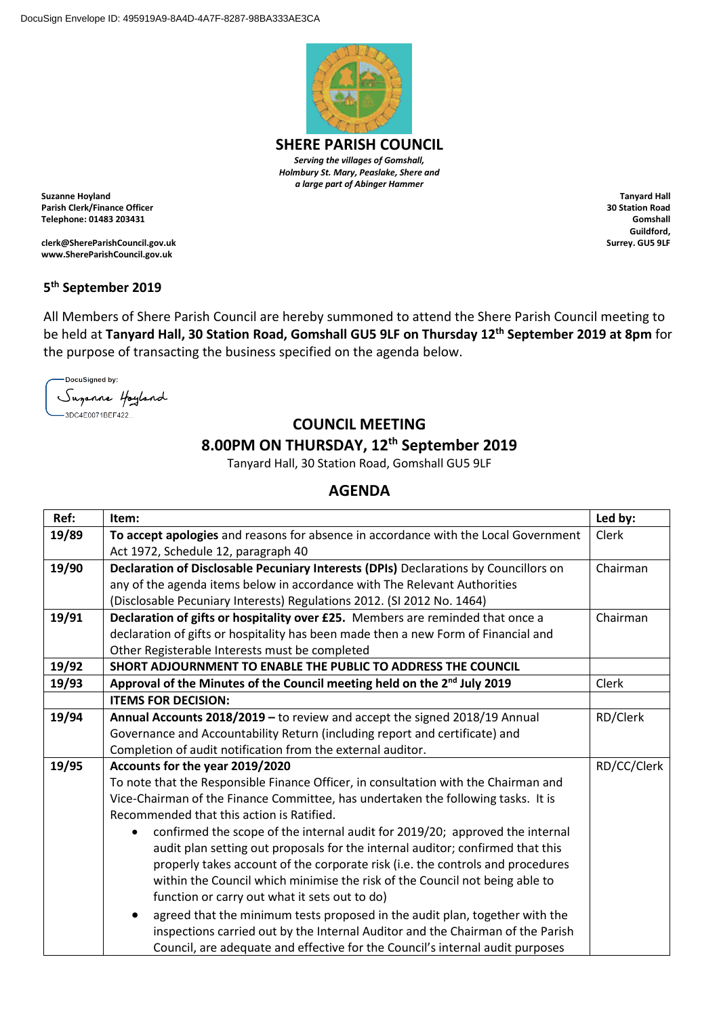

**SHERE PARISH COUNCIL** *Serving the villages of Gomshall, Holmbury St. Mary, Peaslake, Shere and a large part of Abinger Hammer*

**Suzanne Hoyland Parish Clerk/Finance Officer Telephone: 01483 203431**

**clerk@ShereParishCouncil.gov.uk www.ShereParishCouncil.gov.uk**

**Tanyard Hall 30 Station Road Gomshall Guildford, Surrey. GU5 9LF**

## **5 th September 2019**

All Members of Shere Parish Council are hereby summoned to attend the Shere Parish Council meeting to be held at **Tanyard Hall, 30 Station Road, Gomshall GU5 9LF on Thursday 12 th September 2019 at 8pm** for the purpose of transacting the business specified on the agenda below.

DocuSianed by: Suganne Hoyland .<br>-3DC4E0071BEF422...

## **COUNCIL MEETING**

## **8.00PM ON THURSDAY, 12 th September 2019**

Tanyard Hall, 30 Station Road, Gomshall GU5 9LF

## **AGENDA**

| Ref:  | Item:                                                                                    | Led by:     |
|-------|------------------------------------------------------------------------------------------|-------------|
| 19/89 | To accept apologies and reasons for absence in accordance with the Local Government      | Clerk       |
|       | Act 1972, Schedule 12, paragraph 40                                                      |             |
| 19/90 | Declaration of Disclosable Pecuniary Interests (DPIs) Declarations by Councillors on     | Chairman    |
|       | any of the agenda items below in accordance with The Relevant Authorities                |             |
|       | (Disclosable Pecuniary Interests) Regulations 2012. (SI 2012 No. 1464)                   |             |
| 19/91 | Declaration of gifts or hospitality over £25. Members are reminded that once a           | Chairman    |
|       | declaration of gifts or hospitality has been made then a new Form of Financial and       |             |
|       | Other Registerable Interests must be completed                                           |             |
| 19/92 | SHORT ADJOURNMENT TO ENABLE THE PUBLIC TO ADDRESS THE COUNCIL                            |             |
| 19/93 | Approval of the Minutes of the Council meeting held on the 2 <sup>nd</sup> July 2019     | Clerk       |
|       | <b>ITEMS FOR DECISION:</b>                                                               |             |
| 19/94 | Annual Accounts 2018/2019 - to review and accept the signed 2018/19 Annual               | RD/Clerk    |
|       | Governance and Accountability Return (including report and certificate) and              |             |
|       | Completion of audit notification from the external auditor.                              |             |
| 19/95 | Accounts for the year 2019/2020                                                          | RD/CC/Clerk |
|       | To note that the Responsible Finance Officer, in consultation with the Chairman and      |             |
|       | Vice-Chairman of the Finance Committee, has undertaken the following tasks. It is        |             |
|       | Recommended that this action is Ratified.                                                |             |
|       | confirmed the scope of the internal audit for 2019/20; approved the internal             |             |
|       | audit plan setting out proposals for the internal auditor; confirmed that this           |             |
|       | properly takes account of the corporate risk (i.e. the controls and procedures           |             |
|       | within the Council which minimise the risk of the Council not being able to              |             |
|       | function or carry out what it sets out to do)                                            |             |
|       | agreed that the minimum tests proposed in the audit plan, together with the<br>$\bullet$ |             |
|       | inspections carried out by the Internal Auditor and the Chairman of the Parish           |             |
|       | Council, are adequate and effective for the Council's internal audit purposes            |             |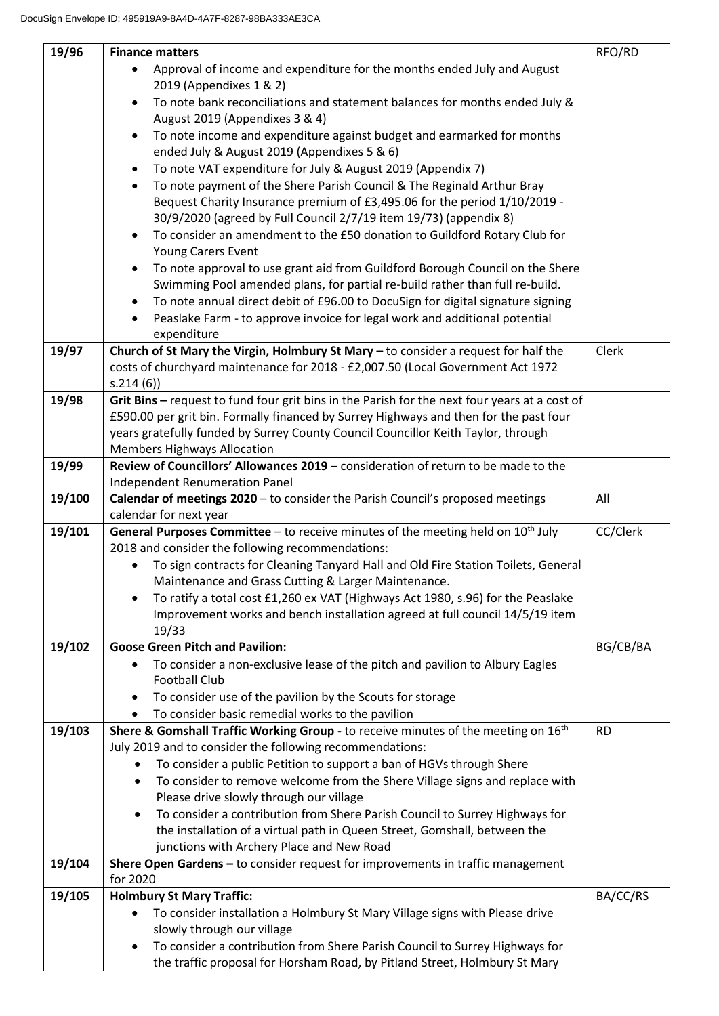| 19/96  | <b>Finance matters</b>                                                                                                                                                                 | RFO/RD    |
|--------|----------------------------------------------------------------------------------------------------------------------------------------------------------------------------------------|-----------|
|        | Approval of income and expenditure for the months ended July and August                                                                                                                |           |
|        | 2019 (Appendixes 1 & 2)                                                                                                                                                                |           |
|        | To note bank reconciliations and statement balances for months ended July &                                                                                                            |           |
|        | August 2019 (Appendixes 3 & 4)                                                                                                                                                         |           |
|        | To note income and expenditure against budget and earmarked for months<br>$\bullet$                                                                                                    |           |
|        | ended July & August 2019 (Appendixes 5 & 6)                                                                                                                                            |           |
|        | To note VAT expenditure for July & August 2019 (Appendix 7)<br>٠                                                                                                                       |           |
|        | To note payment of the Shere Parish Council & The Reginald Arthur Bray<br>$\bullet$                                                                                                    |           |
|        | Bequest Charity Insurance premium of £3,495.06 for the period 1/10/2019 -                                                                                                              |           |
|        | 30/9/2020 (agreed by Full Council 2/7/19 item 19/73) (appendix 8)                                                                                                                      |           |
|        | To consider an amendment to the £50 donation to Guildford Rotary Club for<br>٠                                                                                                         |           |
|        | Young Carers Event                                                                                                                                                                     |           |
|        | To note approval to use grant aid from Guildford Borough Council on the Shere                                                                                                          |           |
|        | Swimming Pool amended plans, for partial re-build rather than full re-build.                                                                                                           |           |
|        | To note annual direct debit of £96.00 to DocuSign for digital signature signing<br>$\bullet$                                                                                           |           |
|        | Peaslake Farm - to approve invoice for legal work and additional potential<br>$\bullet$                                                                                                |           |
|        | expenditure                                                                                                                                                                            |           |
| 19/97  | Church of St Mary the Virgin, Holmbury St Mary - to consider a request for half the                                                                                                    | Clerk     |
|        | costs of churchyard maintenance for 2018 - £2,007.50 (Local Government Act 1972                                                                                                        |           |
|        | s.214(6)                                                                                                                                                                               |           |
| 19/98  | Grit Bins - request to fund four grit bins in the Parish for the next four years at a cost of<br>£590.00 per grit bin. Formally financed by Surrey Highways and then for the past four |           |
|        | years gratefully funded by Surrey County Council Councillor Keith Taylor, through                                                                                                      |           |
|        | <b>Members Highways Allocation</b>                                                                                                                                                     |           |
| 19/99  | Review of Councillors' Allowances 2019 - consideration of return to be made to the                                                                                                     |           |
|        | <b>Independent Renumeration Panel</b>                                                                                                                                                  |           |
| 19/100 | Calendar of meetings 2020 - to consider the Parish Council's proposed meetings                                                                                                         | All       |
|        | calendar for next year                                                                                                                                                                 |           |
| 19/101 | General Purposes Committee - to receive minutes of the meeting held on $10^{th}$ July                                                                                                  | CC/Clerk  |
|        | 2018 and consider the following recommendations:                                                                                                                                       |           |
|        | To sign contracts for Cleaning Tanyard Hall and Old Fire Station Toilets, General                                                                                                      |           |
|        | Maintenance and Grass Cutting & Larger Maintenance.                                                                                                                                    |           |
|        | To ratify a total cost £1,260 ex VAT (Highways Act 1980, s.96) for the Peaslake                                                                                                        |           |
|        | Improvement works and bench installation agreed at full council 14/5/19 item                                                                                                           |           |
|        | 19/33                                                                                                                                                                                  |           |
| 19/102 | <b>Goose Green Pitch and Pavilion:</b>                                                                                                                                                 | BG/CB/BA  |
|        | To consider a non-exclusive lease of the pitch and pavilion to Albury Eagles<br>٠                                                                                                      |           |
|        | <b>Football Club</b>                                                                                                                                                                   |           |
|        | To consider use of the pavilion by the Scouts for storage                                                                                                                              |           |
|        | To consider basic remedial works to the pavilion                                                                                                                                       |           |
| 19/103 | <b>Shere &amp; Gomshall Traffic Working Group - to receive minutes of the meeting on 16th</b>                                                                                          | <b>RD</b> |
|        | July 2019 and to consider the following recommendations:                                                                                                                               |           |
|        | To consider a public Petition to support a ban of HGVs through Shere<br>$\bullet$                                                                                                      |           |
|        | To consider to remove welcome from the Shere Village signs and replace with<br>٠                                                                                                       |           |
|        | Please drive slowly through our village<br>To consider a contribution from Shere Parish Council to Surrey Highways for<br>$\bullet$                                                    |           |
|        | the installation of a virtual path in Queen Street, Gomshall, between the                                                                                                              |           |
|        | junctions with Archery Place and New Road                                                                                                                                              |           |
| 19/104 | Shere Open Gardens - to consider request for improvements in traffic management                                                                                                        |           |
|        | for 2020                                                                                                                                                                               |           |
| 19/105 | <b>Holmbury St Mary Traffic:</b>                                                                                                                                                       | BA/CC/RS  |
|        | To consider installation a Holmbury St Mary Village signs with Please drive                                                                                                            |           |
|        | slowly through our village                                                                                                                                                             |           |
|        | To consider a contribution from Shere Parish Council to Surrey Highways for                                                                                                            |           |
|        | the traffic proposal for Horsham Road, by Pitland Street, Holmbury St Mary                                                                                                             |           |